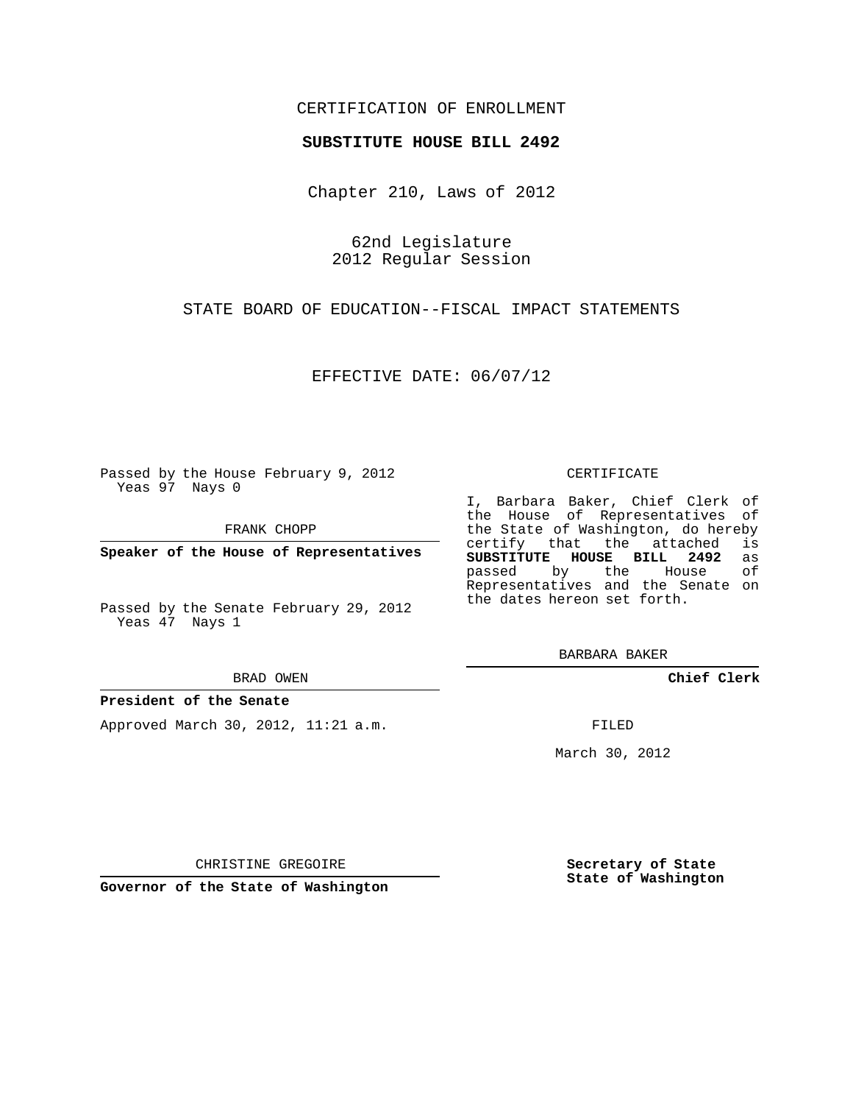## CERTIFICATION OF ENROLLMENT

## **SUBSTITUTE HOUSE BILL 2492**

Chapter 210, Laws of 2012

62nd Legislature 2012 Regular Session

STATE BOARD OF EDUCATION--FISCAL IMPACT STATEMENTS

EFFECTIVE DATE: 06/07/12

Passed by the House February 9, 2012 Yeas 97 Nays 0

FRANK CHOPP

**Speaker of the House of Representatives**

Passed by the Senate February 29, 2012 Yeas 47 Nays 1

#### BRAD OWEN

## **President of the Senate**

Approved March 30, 2012, 11:21 a.m.

#### CERTIFICATE

I, Barbara Baker, Chief Clerk of the House of Representatives of the State of Washington, do hereby<br>certify that the attached is certify that the attached **SUBSTITUTE HOUSE BILL 2492** as passed by the Representatives and the Senate on the dates hereon set forth.

BARBARA BAKER

**Chief Clerk**

FILED

March 30, 2012

**Secretary of State State of Washington**

CHRISTINE GREGOIRE

**Governor of the State of Washington**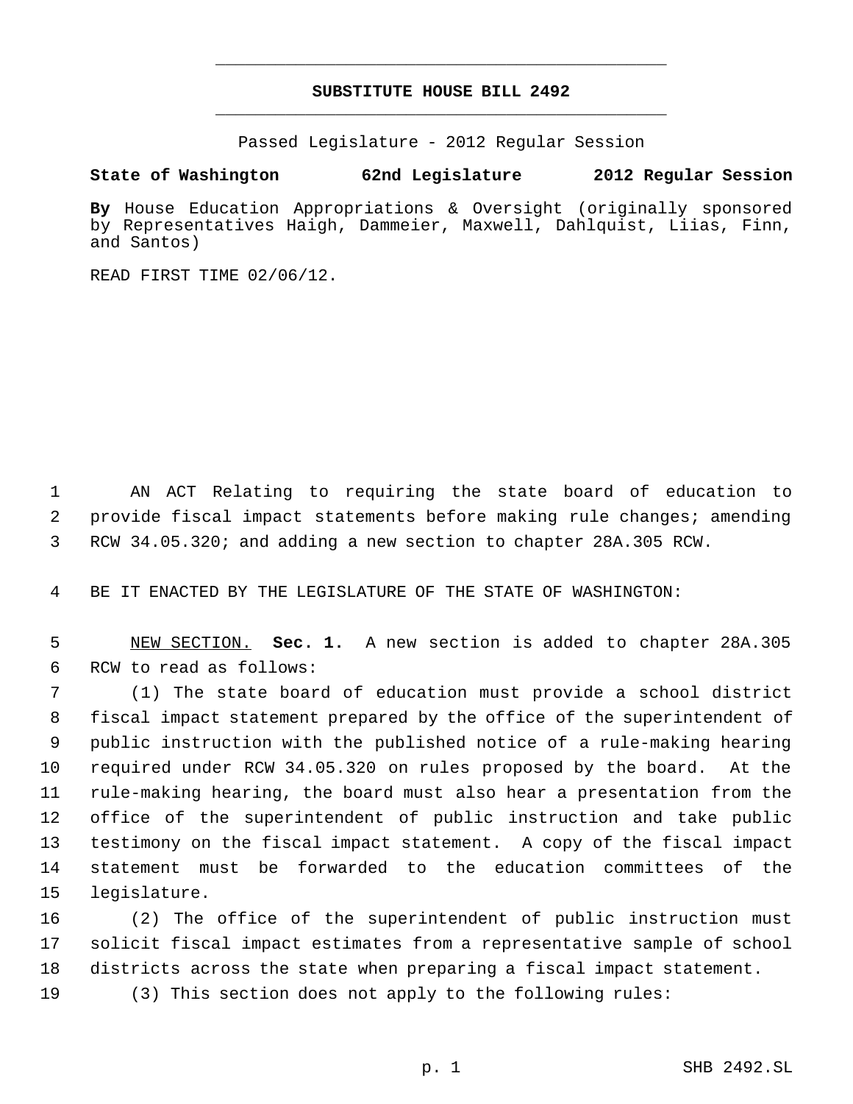# **SUBSTITUTE HOUSE BILL 2492** \_\_\_\_\_\_\_\_\_\_\_\_\_\_\_\_\_\_\_\_\_\_\_\_\_\_\_\_\_\_\_\_\_\_\_\_\_\_\_\_\_\_\_\_\_

\_\_\_\_\_\_\_\_\_\_\_\_\_\_\_\_\_\_\_\_\_\_\_\_\_\_\_\_\_\_\_\_\_\_\_\_\_\_\_\_\_\_\_\_\_

Passed Legislature - 2012 Regular Session

# **State of Washington 62nd Legislature 2012 Regular Session**

**By** House Education Appropriations & Oversight (originally sponsored by Representatives Haigh, Dammeier, Maxwell, Dahlquist, Liias, Finn, and Santos)

READ FIRST TIME 02/06/12.

 AN ACT Relating to requiring the state board of education to provide fiscal impact statements before making rule changes; amending RCW 34.05.320; and adding a new section to chapter 28A.305 RCW.

BE IT ENACTED BY THE LEGISLATURE OF THE STATE OF WASHINGTON:

 NEW SECTION. **Sec. 1.** A new section is added to chapter 28A.305 RCW to read as follows:

 (1) The state board of education must provide a school district fiscal impact statement prepared by the office of the superintendent of public instruction with the published notice of a rule-making hearing required under RCW 34.05.320 on rules proposed by the board. At the rule-making hearing, the board must also hear a presentation from the office of the superintendent of public instruction and take public testimony on the fiscal impact statement. A copy of the fiscal impact statement must be forwarded to the education committees of the legislature.

 (2) The office of the superintendent of public instruction must solicit fiscal impact estimates from a representative sample of school districts across the state when preparing a fiscal impact statement.

(3) This section does not apply to the following rules: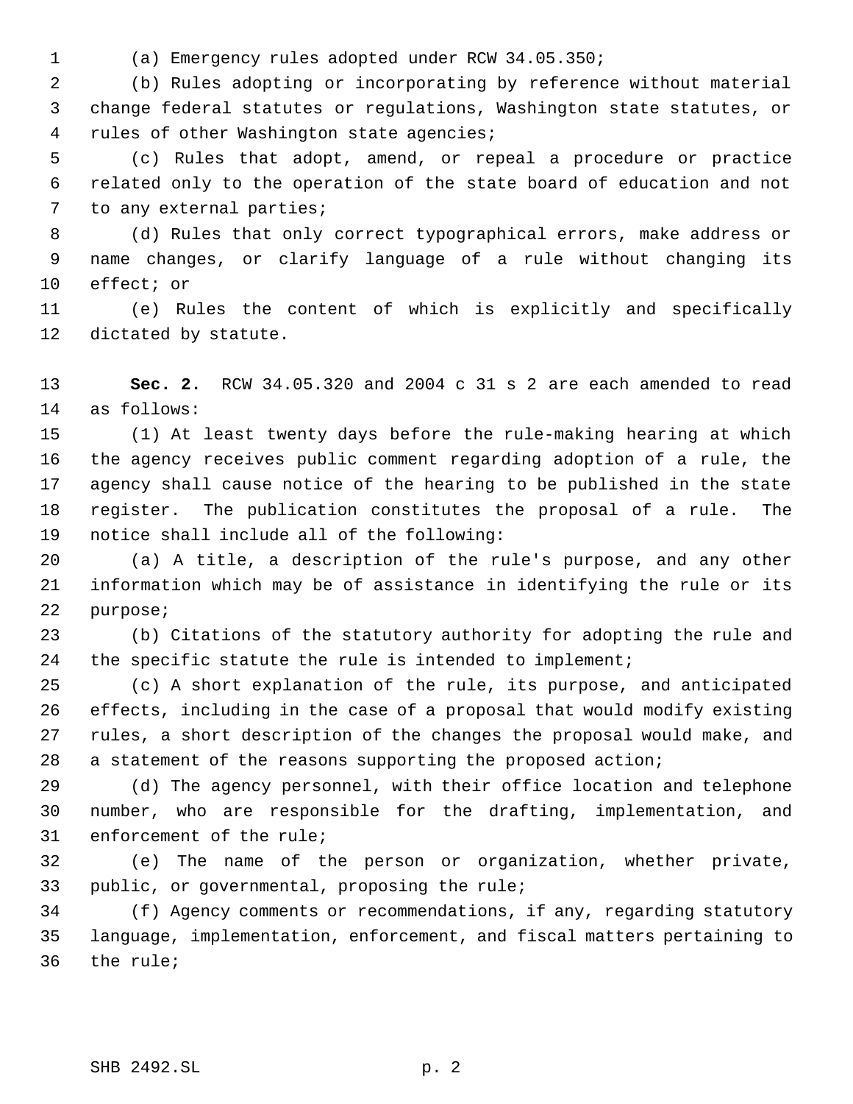(a) Emergency rules adopted under RCW 34.05.350;

 (b) Rules adopting or incorporating by reference without material change federal statutes or regulations, Washington state statutes, or rules of other Washington state agencies;

 (c) Rules that adopt, amend, or repeal a procedure or practice related only to the operation of the state board of education and not to any external parties;

 (d) Rules that only correct typographical errors, make address or name changes, or clarify language of a rule without changing its effect; or

 (e) Rules the content of which is explicitly and specifically dictated by statute.

 **Sec. 2.** RCW 34.05.320 and 2004 c 31 s 2 are each amended to read as follows:

 (1) At least twenty days before the rule-making hearing at which the agency receives public comment regarding adoption of a rule, the agency shall cause notice of the hearing to be published in the state register. The publication constitutes the proposal of a rule. The notice shall include all of the following:

 (a) A title, a description of the rule's purpose, and any other information which may be of assistance in identifying the rule or its purpose;

 (b) Citations of the statutory authority for adopting the rule and the specific statute the rule is intended to implement;

 (c) A short explanation of the rule, its purpose, and anticipated effects, including in the case of a proposal that would modify existing rules, a short description of the changes the proposal would make, and a statement of the reasons supporting the proposed action;

 (d) The agency personnel, with their office location and telephone number, who are responsible for the drafting, implementation, and enforcement of the rule;

 (e) The name of the person or organization, whether private, public, or governmental, proposing the rule;

 (f) Agency comments or recommendations, if any, regarding statutory language, implementation, enforcement, and fiscal matters pertaining to the rule;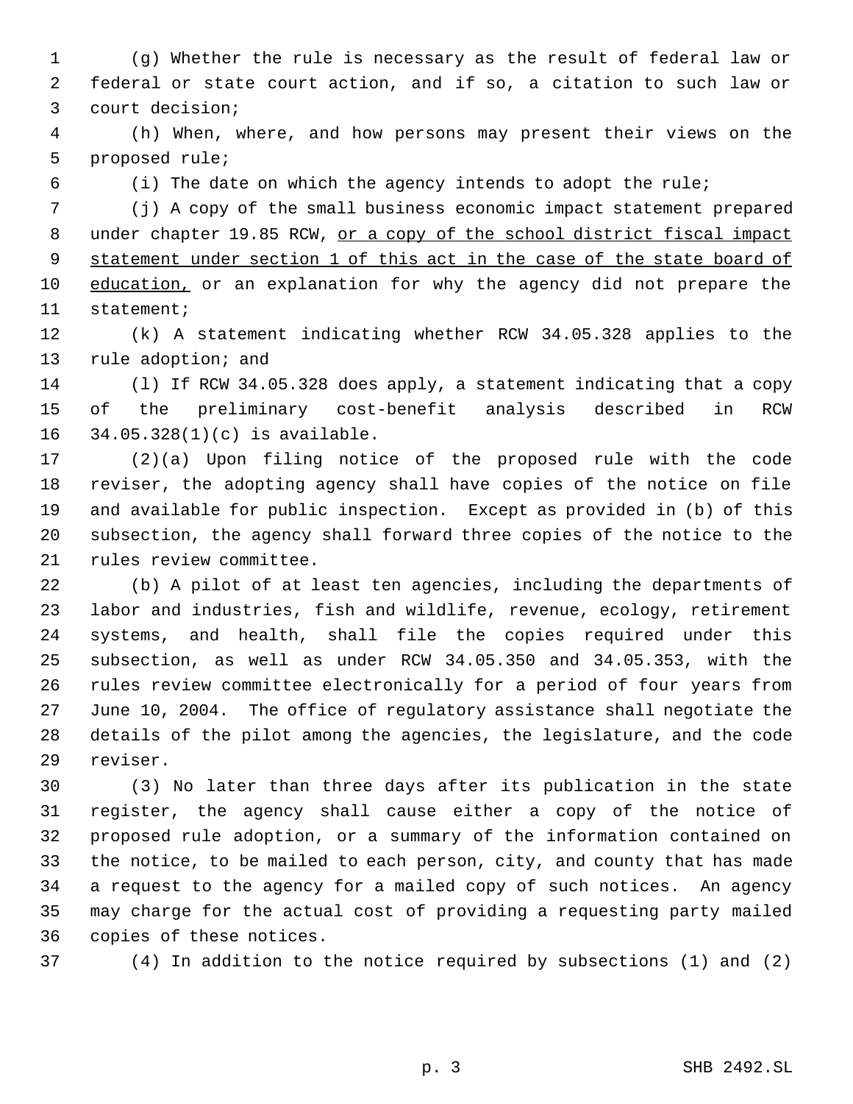(g) Whether the rule is necessary as the result of federal law or federal or state court action, and if so, a citation to such law or court decision;

 (h) When, where, and how persons may present their views on the proposed rule;

(i) The date on which the agency intends to adopt the rule;

 (j) A copy of the small business economic impact statement prepared 8 under chapter 19.85 RCW, or a copy of the school district fiscal impact statement under section 1 of this act in the case of the state board of 10 education, or an explanation for why the agency did not prepare the statement;

 (k) A statement indicating whether RCW 34.05.328 applies to the rule adoption; and

 (l) If RCW 34.05.328 does apply, a statement indicating that a copy of the preliminary cost-benefit analysis described in RCW 34.05.328(1)(c) is available.

 (2)(a) Upon filing notice of the proposed rule with the code reviser, the adopting agency shall have copies of the notice on file and available for public inspection. Except as provided in (b) of this subsection, the agency shall forward three copies of the notice to the rules review committee.

 (b) A pilot of at least ten agencies, including the departments of labor and industries, fish and wildlife, revenue, ecology, retirement systems, and health, shall file the copies required under this subsection, as well as under RCW 34.05.350 and 34.05.353, with the rules review committee electronically for a period of four years from June 10, 2004. The office of regulatory assistance shall negotiate the details of the pilot among the agencies, the legislature, and the code reviser.

 (3) No later than three days after its publication in the state register, the agency shall cause either a copy of the notice of proposed rule adoption, or a summary of the information contained on the notice, to be mailed to each person, city, and county that has made a request to the agency for a mailed copy of such notices. An agency may charge for the actual cost of providing a requesting party mailed copies of these notices.

(4) In addition to the notice required by subsections (1) and (2)